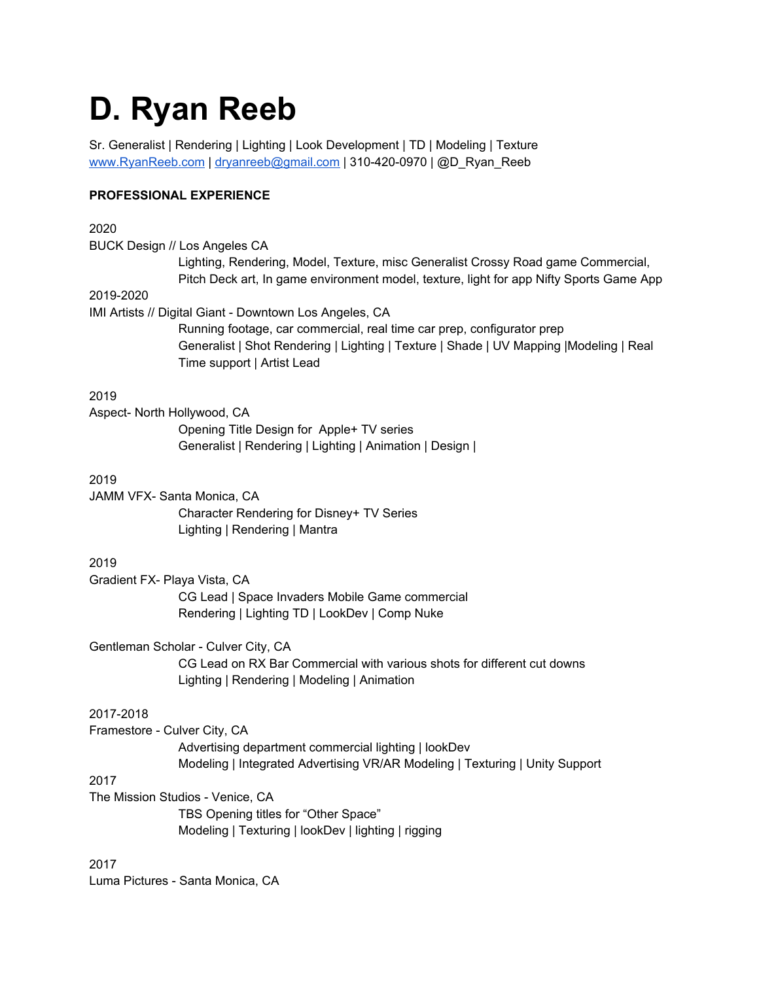# **D. Ryan Reeb**

Sr. Generalist | Rendering | Lighting | Look Development | TD | Modeling | Texture [www.RyanReeb.com](http://www.ryanreeb.com/) | [dryanreeb@gmail.com](mailto:dryanreeb@gmail.com) | 310-420-0970 | @D\_Ryan\_Reeb

## **PROFESSIONAL EXPERIENCE**

# 2020 BUCK Design // Los Angeles CA Lighting, Rendering, Model, Texture, misc Generalist Crossy Road game Commercial, Pitch Deck art, In game environment model, texture, light for app Nifty Sports Game App 2019-2020 IMI Artists // Digital Giant - Downtown Los Angeles, CA Running footage, car commercial, real time car prep, configurator prep Generalist | Shot Rendering | Lighting | Texture | Shade | UV Mapping |Modeling | Real Time support | Artist Lead 2019 Aspect- North Hollywood, CA Opening Title Design for Apple+ TV series Generalist | Rendering | Lighting | Animation | Design | 2019 JAMM VFX- Santa Monica, CA Character Rendering for Disney+ TV Series Lighting | Rendering | Mantra 2019 Gradient FX- Playa Vista, CA CG Lead | Space Invaders Mobile Game commercial Rendering | Lighting TD | LookDev | Comp Nuke Gentleman Scholar - Culver City, CA CG Lead on RX Bar Commercial with various shots for different cut downs Lighting | Rendering | Modeling | Animation 2017-2018 Framestore - Culver City, CA Advertising department commercial lighting | lookDev Modeling | Integrated Advertising VR/AR Modeling | Texturing | Unity Support 2017 The Mission Studios - Venice, CA TBS Opening titles for "Other Space" Modeling | Texturing | lookDev | lighting | rigging 2017

Luma Pictures - Santa Monica, CA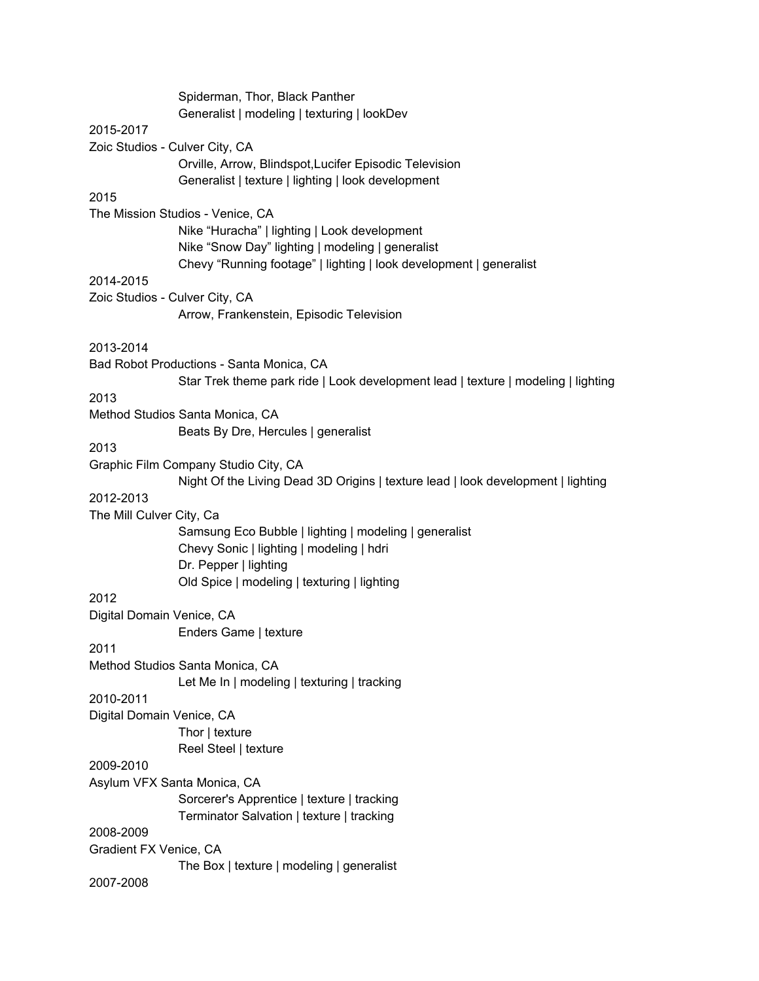|                                          |                           | Spiderman, Thor, Black Panther                                                    |
|------------------------------------------|---------------------------|-----------------------------------------------------------------------------------|
|                                          | 2015-2017                 | Generalist   modeling   texturing   lookDev                                       |
| Zoic Studios - Culver City, CA           |                           |                                                                                   |
|                                          |                           | Orville, Arrow, Blindspot, Lucifer Episodic Television                            |
|                                          |                           | Generalist   texture   lighting   look development                                |
|                                          | 2015                      |                                                                                   |
|                                          |                           | The Mission Studios - Venice, CA                                                  |
|                                          |                           | Nike "Huracha"   lighting   Look development                                      |
|                                          |                           | Nike "Snow Day" lighting   modeling   generalist                                  |
|                                          |                           | Chevy "Running footage"   lighting   look development   generalist                |
|                                          | 2014-2015                 |                                                                                   |
| Zoic Studios - Culver City, CA           |                           |                                                                                   |
|                                          |                           | Arrow, Frankenstein, Episodic Television                                          |
|                                          |                           |                                                                                   |
|                                          | 2013-2014                 |                                                                                   |
| Bad Robot Productions - Santa Monica, CA |                           |                                                                                   |
|                                          |                           | Star Trek theme park ride   Look development lead   texture   modeling   lighting |
|                                          | 2013                      |                                                                                   |
|                                          |                           | Method Studios Santa Monica, CA                                                   |
|                                          |                           | Beats By Dre, Hercules   generalist                                               |
|                                          | 2013                      |                                                                                   |
|                                          |                           | Graphic Film Company Studio City, CA                                              |
|                                          |                           | Night Of the Living Dead 3D Origins   texture lead   look development   lighting  |
|                                          | 2012-2013                 |                                                                                   |
|                                          | The Mill Culver City, Ca  |                                                                                   |
|                                          |                           | Samsung Eco Bubble   lighting   modeling   generalist                             |
|                                          |                           | Chevy Sonic   lighting   modeling   hdri                                          |
|                                          |                           | Dr. Pepper   lighting                                                             |
|                                          | 2012                      | Old Spice   modeling   texturing   lighting                                       |
| Digital Domain Venice, CA                |                           |                                                                                   |
|                                          |                           |                                                                                   |
|                                          | 2011                      | Enders Game   texture                                                             |
|                                          |                           | Method Studios Santa Monica, CA                                                   |
|                                          |                           | Let Me In   modeling   texturing   tracking                                       |
|                                          | 2010-2011                 |                                                                                   |
|                                          | Digital Domain Venice, CA |                                                                                   |
|                                          |                           | Thor $ $ texture                                                                  |
|                                          |                           | Reel Steel   texture                                                              |
|                                          | 2009-2010                 |                                                                                   |
|                                          |                           | Asylum VFX Santa Monica, CA                                                       |
|                                          |                           | Sorcerer's Apprentice   texture   tracking                                        |
|                                          |                           | Terminator Salvation   texture   tracking                                         |
|                                          | 2008-2009                 |                                                                                   |
|                                          | Gradient FX Venice, CA    |                                                                                   |
|                                          |                           | The Box   texture   modeling   generalist                                         |
|                                          | 2007-2008                 |                                                                                   |
|                                          |                           |                                                                                   |